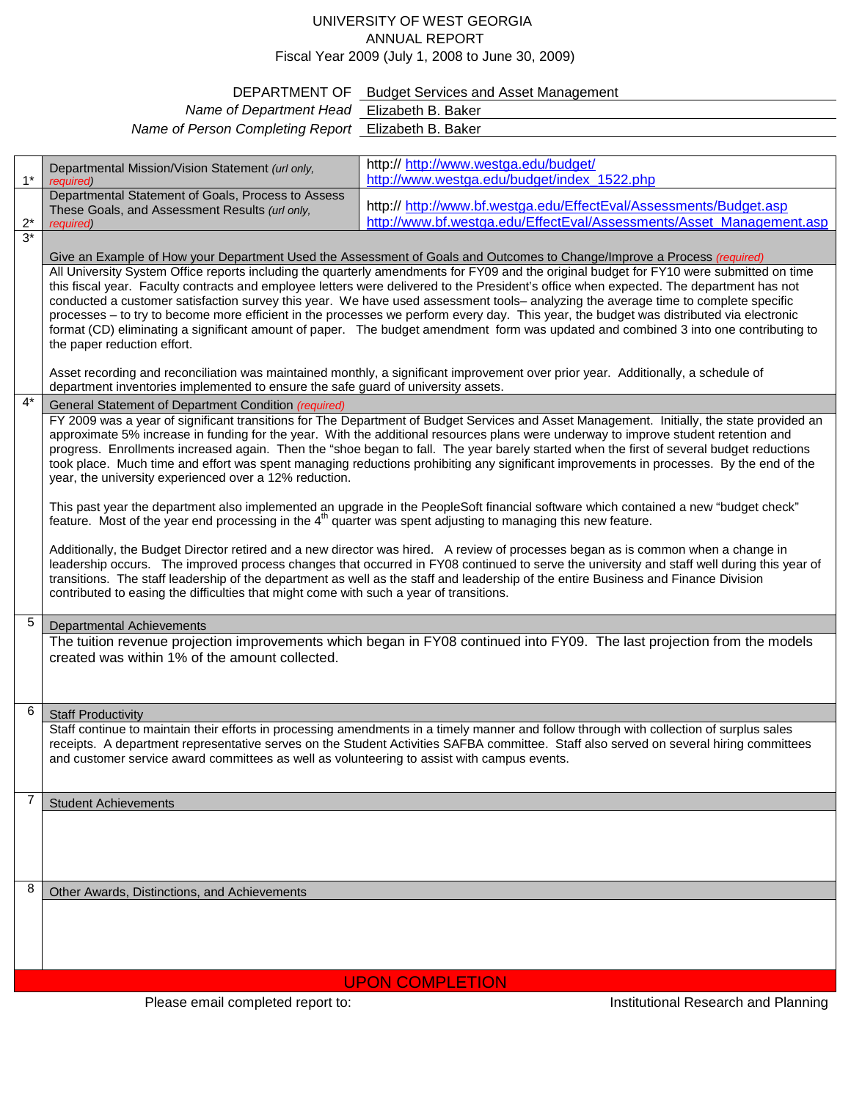## UNIVERSITY OF WEST GEORGIA ANNUAL REPORT Fiscal Year 2009 (July 1, 2008 to June 30, 2009)

## DEPARTMENT OF Budget Services and Asset Management

| Name of Department Head Elizabeth B. Baker          |  |
|-----------------------------------------------------|--|
| Name of Person Completing Report Elizabeth B. Baker |  |

|       | Departmental Mission/Vision Statement (url only,                                                                                                                                                                                                                             | http:// http://www.westga.edu/budget/                                                                                                      |  |
|-------|------------------------------------------------------------------------------------------------------------------------------------------------------------------------------------------------------------------------------------------------------------------------------|--------------------------------------------------------------------------------------------------------------------------------------------|--|
| $1*$  | required)                                                                                                                                                                                                                                                                    | http://www.westga.edu/budget/index 1522.php                                                                                                |  |
|       | Departmental Statement of Goals, Process to Assess<br>These Goals, and Assessment Results (url only,                                                                                                                                                                         | http:// http://www.bf.westga.edu/EffectEval/Assessments/Budget.asp                                                                         |  |
| $2^*$ | required)                                                                                                                                                                                                                                                                    | http://www.bf.westga.edu/EffectEval/Assessments/Asset Management.asp                                                                       |  |
| $3*$  |                                                                                                                                                                                                                                                                              |                                                                                                                                            |  |
|       |                                                                                                                                                                                                                                                                              | Give an Example of How your Department Used the Assessment of Goals and Outcomes to Change/Improve a Process (required)                    |  |
|       | All University System Office reports including the quarterly amendments for FY09 and the original budget for FY10 were submitted on time                                                                                                                                     |                                                                                                                                            |  |
|       | this fiscal year. Faculty contracts and employee letters were delivered to the President's office when expected. The department has not                                                                                                                                      |                                                                                                                                            |  |
|       | conducted a customer satisfaction survey this year. We have used assessment tools-analyzing the average time to complete specific<br>processes - to try to become more efficient in the processes we perform every day. This year, the budget was distributed via electronic |                                                                                                                                            |  |
|       | format (CD) eliminating a significant amount of paper. The budget amendment form was updated and combined 3 into one contributing to                                                                                                                                         |                                                                                                                                            |  |
|       | the paper reduction effort.                                                                                                                                                                                                                                                  |                                                                                                                                            |  |
|       |                                                                                                                                                                                                                                                                              |                                                                                                                                            |  |
|       | Asset recording and reconciliation was maintained monthly, a significant improvement over prior year. Additionally, a schedule of<br>department inventories implemented to ensure the safe guard of university assets.                                                       |                                                                                                                                            |  |
| $4*$  | General Statement of Department Condition (required)                                                                                                                                                                                                                         |                                                                                                                                            |  |
|       |                                                                                                                                                                                                                                                                              | FY 2009 was a year of significant transitions for The Department of Budget Services and Asset Management. Initially, the state provided an |  |
|       | approximate 5% increase in funding for the year. With the additional resources plans were underway to improve student retention and                                                                                                                                          |                                                                                                                                            |  |
|       | progress. Enrollments increased again. Then the "shoe began to fall. The year barely started when the first of several budget reductions                                                                                                                                     |                                                                                                                                            |  |
|       | took place. Much time and effort was spent managing reductions prohibiting any significant improvements in processes. By the end of the                                                                                                                                      |                                                                                                                                            |  |
|       | year, the university experienced over a 12% reduction.                                                                                                                                                                                                                       |                                                                                                                                            |  |
|       | This past year the department also implemented an upgrade in the PeopleSoft financial software which contained a new "budget check"                                                                                                                                          |                                                                                                                                            |  |
|       | feature. Most of the year end processing in the 4 <sup>th</sup> quarter was spent adjusting to managing this new feature.                                                                                                                                                    |                                                                                                                                            |  |
|       | Additionally, the Budget Director retired and a new director was hired. A review of processes began as is common when a change in                                                                                                                                            |                                                                                                                                            |  |
|       |                                                                                                                                                                                                                                                                              | leadership occurs. The improved process changes that occurred in FY08 continued to serve the university and staff well during this year of |  |
|       |                                                                                                                                                                                                                                                                              | transitions. The staff leadership of the department as well as the staff and leadership of the entire Business and Finance Division        |  |
|       | contributed to easing the difficulties that might come with such a year of transitions.                                                                                                                                                                                      |                                                                                                                                            |  |
| 5     |                                                                                                                                                                                                                                                                              |                                                                                                                                            |  |
|       | <b>Departmental Achievements</b>                                                                                                                                                                                                                                             |                                                                                                                                            |  |
|       | The tuition revenue projection improvements which began in FY08 continued into FY09. The last projection from the models<br>created was within 1% of the amount collected.                                                                                                   |                                                                                                                                            |  |
|       |                                                                                                                                                                                                                                                                              |                                                                                                                                            |  |
|       |                                                                                                                                                                                                                                                                              |                                                                                                                                            |  |
| 6     | <b>Staff Productivity</b>                                                                                                                                                                                                                                                    |                                                                                                                                            |  |
|       |                                                                                                                                                                                                                                                                              | Staff continue to maintain their efforts in processing amendments in a timely manner and follow through with collection of surplus sales   |  |
|       |                                                                                                                                                                                                                                                                              | receipts. A department representative serves on the Student Activities SAFBA committee. Staff also served on several hiring committees     |  |
|       | and customer service award committees as well as volunteering to assist with campus events.                                                                                                                                                                                  |                                                                                                                                            |  |
|       |                                                                                                                                                                                                                                                                              |                                                                                                                                            |  |
| 7     | <b>Student Achievements</b>                                                                                                                                                                                                                                                  |                                                                                                                                            |  |
|       |                                                                                                                                                                                                                                                                              |                                                                                                                                            |  |
|       |                                                                                                                                                                                                                                                                              |                                                                                                                                            |  |
|       |                                                                                                                                                                                                                                                                              |                                                                                                                                            |  |
|       |                                                                                                                                                                                                                                                                              |                                                                                                                                            |  |
| 8     | Other Awards, Distinctions, and Achievements                                                                                                                                                                                                                                 |                                                                                                                                            |  |
|       |                                                                                                                                                                                                                                                                              |                                                                                                                                            |  |
|       |                                                                                                                                                                                                                                                                              |                                                                                                                                            |  |
|       |                                                                                                                                                                                                                                                                              |                                                                                                                                            |  |
|       |                                                                                                                                                                                                                                                                              |                                                                                                                                            |  |
|       | <b>UPON COMPLETION</b>                                                                                                                                                                                                                                                       |                                                                                                                                            |  |

Please email completed report to: Institutional Research and Planning